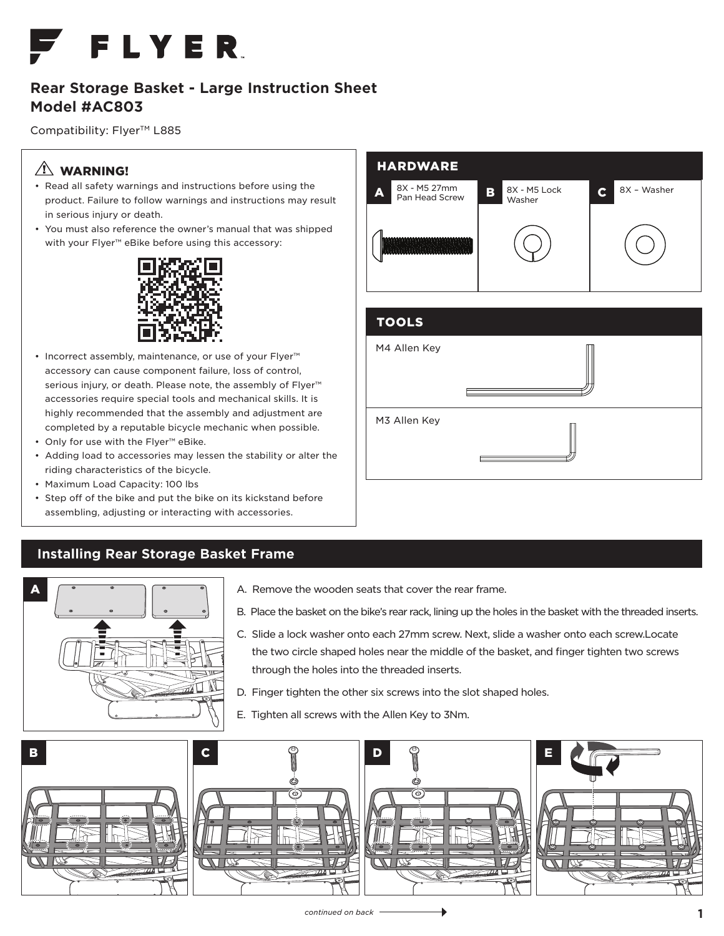

## **Rear Storage Basket - Large Instruction Sheet Model #AC803**

Compatibility: Flyer<sup>™</sup> L885

## $\triangle$  WARNING!

- Read all safety warnings and instructions before using the product. Failure to follow warnings and instructions may result in serious injury or death.
- You must also reference the owner's manual that was shipped with your Flyer<sup>™</sup> eBike before using this accessory:



- Incorrect assembly, maintenance, or use of your Flyer™ accessory can cause component failure, loss of control, serious injury, or death. Please note, the assembly of Flyer™ accessories require special tools and mechanical skills. It is highly recommended that the assembly and adjustment are completed by a reputable bicycle mechanic when possible.
- Only for use with the Flyer™ eBike.
- Adding load to accessories may lessen the stability or alter the riding characteristics of the bicycle.
- Maximum Load Capacity: 100 lbs
- Step off of the bike and put the bike on its kickstand before assembling, adjusting or interacting with accessories.

## **Installing Rear Storage Basket Frame**



- A. Remove the wooden seats that cover the rear frame.
- B. Place the basket on the bike's rear rack, lining up the holes in the basket with the threaded inserts.
- C. Slide a lock washer onto each 27mm screw. Next, slide a washer onto each screw.Locate the two circle shaped holes near the middle of the basket, and finger tighten two screws through the holes into the threaded inserts.
- D. Finger tighten the other six screws into the slot shaped holes.
- E. Tighten all screws with the Allen Key to 3Nm.





| <b>TOOLS</b> |  |
|--------------|--|
| M4 Allen Key |  |
| M3 Allen Key |  |